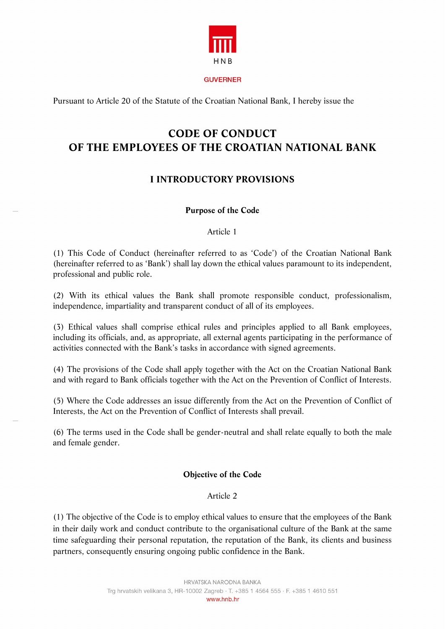

#### **GUVERNER**

Pursuant to Article 20 of the Statute of the Croatian National Bank, I hereby issue the

# **CODE OF CONDUCT OF THE EMPLOYEES OF THE CROATIAN NATIONAL BANK**

# **I INTRODUCTORY PROVISIONS**

#### **Purpose of the Code**

#### Article 1

(1) This Code of Conduct (hereinafter referred to as 'Code') of the Croatian National Bank (hereinafter referred to as 'Bank') shall lay down the ethical values paramount to its independent, professional and public role.

(2) With its ethical values the Bank shall promote responsible conduct, professionalism, independence, impartiality and transparent conduct of all of its employees.

(3) Ethical values shall comprise ethical rules and principles applied to all Bank employees, including its officials, and, as appropriate, all external agents participating in the performance of activities connected with the Bank's tasks in accordance with signed agreements.

(4) The provisions of the Code shall apply together with the Act on the Croatian National Bank and with regard to Bank officials together with the Act on the Prevention of Conflict of Interests.

(5) Where the Code addresses an issue differently from the Act on the Prevention of Conflict of Interests, the Act on the Prevention of Conflict of Interests shall prevail.

(6) The terms used in the Code shall be gender-neutral and shall relate equally to both the male and female gender.

### **Objective of the Code**

#### Article 2

(1) The objective of the Code is to employ ethical values to ensure that the employees of the Bank in their daily work and conduct contribute to the organisational culture of the Bank at the same time safeguarding their personal reputation, the reputation of the Bank, its clients and business partners, consequently ensuring ongoing public confidence in the Bank.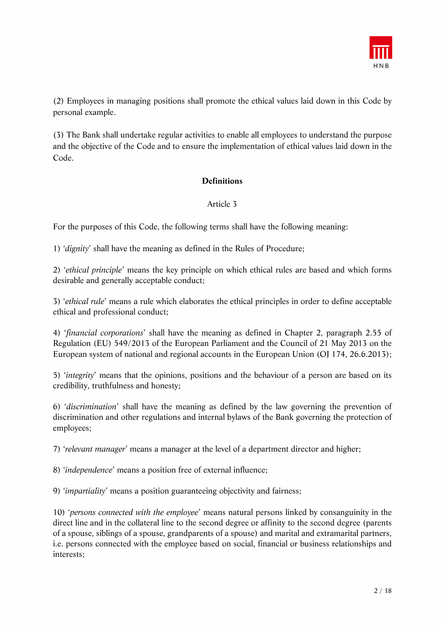

(2) Employees in managing positions shall promote the ethical values laid down in this Code by personal example.

(3) The Bank shall undertake regular activities to enable all employees to understand the purpose and the objective of the Code and to ensure the implementation of ethical values laid down in the Code.

### **Definitions**

### Article 3

For the purposes of this Code, the following terms shall have the following meaning:

1) '*dignity*' shall have the meaning as defined in the Rules of Procedure;

2) '*ethical principle*' means the key principle on which ethical rules are based and which forms desirable and generally acceptable conduct;

3) '*ethical rule*' means a rule which elaborates the ethical principles in order to define acceptable ethical and professional conduct;

4) '*financial corporations*' shall have the meaning as defined in Chapter 2, paragraph 2.55 of Regulation (EU) 549/2013 of the European Parliament and the Council of 21 May 2013 on the European system of national and regional accounts in the European Union (OJ 174, 26.6.2013);

5) '*integrity*' means that the opinions, positions and the behaviour of a person are based on its credibility, truthfulness and honesty;

6) '*discrimination*' shall have the meaning as defined by the law governing the prevention of discrimination and other regulations and internal bylaws of the Bank governing the protection of employees;

7) '*relevant manager*' means a manager at the level of a department director and higher;

8) '*independence*' means a position free of external influence;

9) '*impartiality*' means a position guaranteeing objectivity and fairness;

10) '*persons connected with the employee*' means natural persons linked by consanguinity in the direct line and in the collateral line to the second degree or affinity to the second degree (parents of a spouse, siblings of a spouse, grandparents of a spouse) and marital and extramarital partners, i.e. persons connected with the employee based on social, financial or business relationships and interests;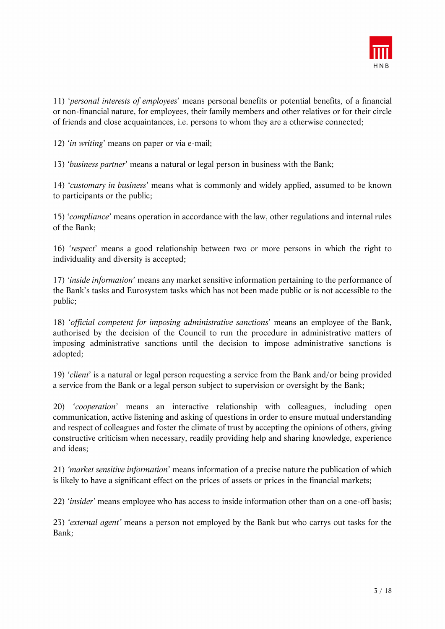

11) '*personal interests of employees*' means personal benefits or potential benefits, of a financial or non-financial nature, for employees, their family members and other relatives or for their circle of friends and close acquaintances, i.e. persons to whom they are a otherwise connected;

12) '*in writing*' means on paper or via e-mail;

13) '*business partner*' means a natural or legal person in business with the Bank;

14) '*customary in business*' means what is commonly and widely applied, assumed to be known to participants or the public;

15) '*compliance*' means operation in accordance with the law, other regulations and internal rules of the Bank;

16) '*respect*' means a good relationship between two or more persons in which the right to individuality and diversity is accepted;

17) '*inside information*' means any market sensitive information pertaining to the performance of the Bank's tasks and Eurosystem tasks which has not been made public or is not accessible to the public;

18) '*official competent for imposing administrative sanctions*' means an employee of the Bank, authorised by the decision of the Council to run the procedure in administrative matters of imposing administrative sanctions until the decision to impose administrative sanctions is adopted;

19) '*client*' is a natural or legal person requesting a service from the Bank and/or being provided a service from the Bank or a legal person subject to supervision or oversight by the Bank;

20) '*cooperation*' means an interactive relationship with colleagues, including open communication, active listening and asking of questions in order to ensure mutual understanding and respect of colleagues and foster the climate of trust by accepting the opinions of others, giving constructive criticism when necessary, readily providing help and sharing knowledge, experience and ideas;

21) *'market sensitive information*' means information of a precise nature the publication of which is likely to have a significant effect on the prices of assets or prices in the financial markets;

22) '*insider'* means employee who has access to inside information other than on a one-off basis;

23) '*external agent'* means a person not employed by the Bank but who carrys out tasks for the Bank;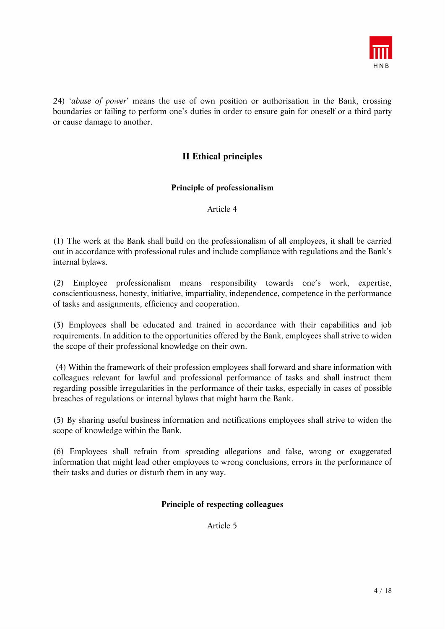

24) '*abuse of power*' means the use of own position or authorisation in the Bank, crossing boundaries or failing to perform one's duties in order to ensure gain for oneself or a third party or cause damage to another.

# **II Ethical principles**

### **Principle of professionalism**

Article 4

(1) The work at the Bank shall build on the professionalism of all employees, it shall be carried out in accordance with professional rules and include compliance with regulations and the Bank's internal bylaws.

(2) Employee professionalism means responsibility towards one's work, expertise, conscientiousness, honesty, initiative, impartiality, independence, competence in the performance of tasks and assignments, efficiency and cooperation.

(3) Employees shall be educated and trained in accordance with their capabilities and job requirements. In addition to the opportunities offered by the Bank, employees shall strive to widen the scope of their professional knowledge on their own.

 (4) Within the framework of their profession employees shall forward and share information with colleagues relevant for lawful and professional performance of tasks and shall instruct them regarding possible irregularities in the performance of their tasks, especially in cases of possible breaches of regulations or internal bylaws that might harm the Bank.

(5) By sharing useful business information and notifications employees shall strive to widen the scope of knowledge within the Bank.

(6) Employees shall refrain from spreading allegations and false, wrong or exaggerated information that might lead other employees to wrong conclusions, errors in the performance of their tasks and duties or disturb them in any way.

### **Principle of respecting colleagues**

Article 5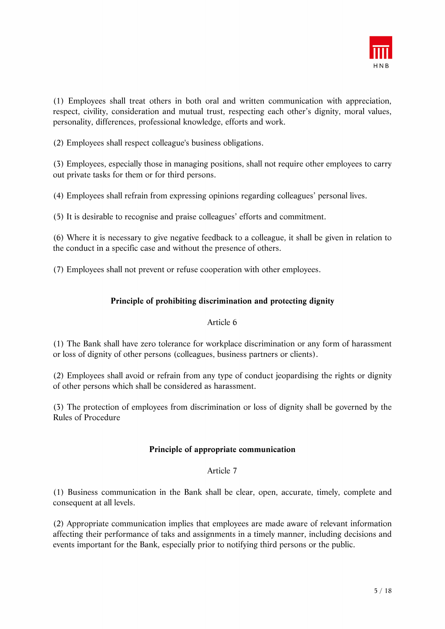

(1) Employees shall treat others in both oral and written communication with appreciation, respect, civility, consideration and mutual trust, respecting each other's dignity, moral values, personality, differences, professional knowledge, efforts and work.

(2) Employees shall respect colleague's business obligations.

(3) Employees, especially those in managing positions, shall not require other employees to carry out private tasks for them or for third persons.

(4) Employees shall refrain from expressing opinions regarding colleagues' personal lives.

(5) It is desirable to recognise and praise colleagues' efforts and commitment.

(6) Where it is necessary to give negative feedback to a colleague, it shall be given in relation to the conduct in a specific case and without the presence of others.

(7) Employees shall not prevent or refuse cooperation with other employees.

### **Principle of prohibiting discrimination and protecting dignity**

### Article 6

(1) The Bank shall have zero tolerance for workplace discrimination or any form of harassment or loss of dignity of other persons (colleagues, business partners or clients).

(2) Employees shall avoid or refrain from any type of conduct jeopardising the rights or dignity of other persons which shall be considered as harassment.

(3) The protection of employees from discrimination or loss of dignity shall be governed by the Rules of Procedure

### **Principle of appropriate communication**

### Article 7

(1) Business communication in the Bank shall be clear, open, accurate, timely, complete and consequent at all levels.

(2) Appropriate communication implies that employees are made aware of relevant information affecting their performance of taks and assignments in a timely manner, including decisions and events important for the Bank, especially prior to notifying third persons or the public.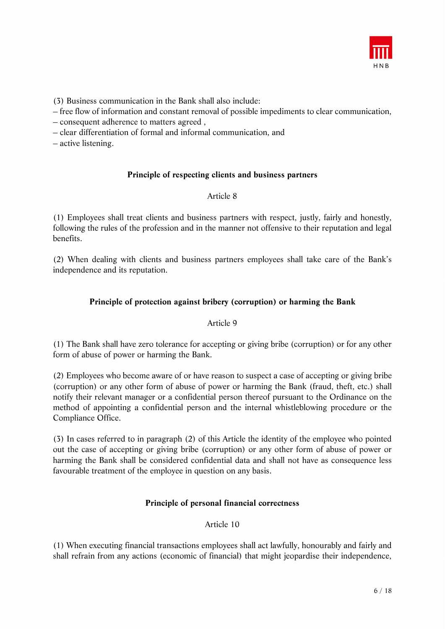

(3) Business communication in the Bank shall also include:

– free flow of information and constant removal of possible impediments to clear communication,

- consequent adherence to matters agreed ,
- clear differentiation of formal and informal communication, and
- active listening.

### **Principle of respecting clients and business partners**

### Article 8

(1) Employees shall treat clients and business partners with respect, justly, fairly and honestly, following the rules of the profession and in the manner not offensive to their reputation and legal benefits.

(2) When dealing with clients and business partners employees shall take care of the Bank's independence and its reputation.

### **Principle of protection against bribery (corruption) or harming the Bank**

### Article 9

(1) The Bank shall have zero tolerance for accepting or giving bribe (corruption) or for any other form of abuse of power or harming the Bank.

(2) Employees who become aware of or have reason to suspect a case of accepting or giving bribe (corruption) or any other form of abuse of power or harming the Bank (fraud, theft, etc.) shall notify their relevant manager or a confidential person thereof pursuant to the Ordinance on the method of appointing a confidential person and the internal whistleblowing procedure or the Compliance Office.

(3) In cases referred to in paragraph (2) of this Article the identity of the employee who pointed out the case of accepting or giving bribe (corruption) or any other form of abuse of power or harming the Bank shall be considered confidential data and shall not have as consequence less favourable treatment of the employee in question on any basis.

### **Principle of personal financial correctness**

### Article 10

(1) When executing financial transactions employees shall act lawfully, honourably and fairly and shall refrain from any actions (economic of financial) that might jeopardise their independence,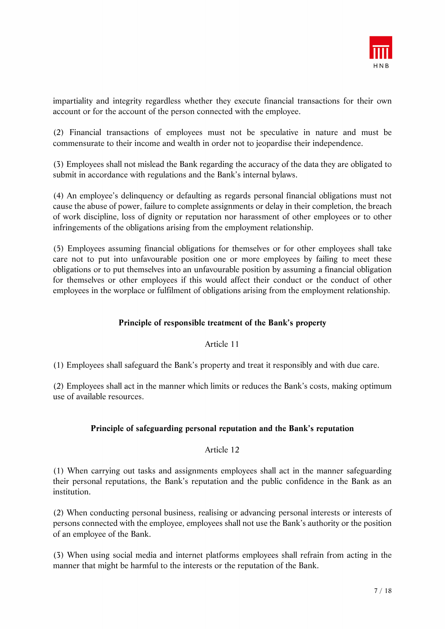

impartiality and integrity regardless whether they execute financial transactions for their own account or for the account of the person connected with the employee.

(2) Financial transactions of employees must not be speculative in nature and must be commensurate to their income and wealth in order not to jeopardise their independence.

(3) Employees shall not mislead the Bank regarding the accuracy of the data they are obligated to submit in accordance with regulations and the Bank's internal bylaws.

(4) An employee's delinquency or defaulting as regards personal financial obligations must not cause the abuse of power, failure to complete assignments or delay in their completion, the breach of work discipline, loss of dignity or reputation nor harassment of other employees or to other infringements of the obligations arising from the employment relationship.

(5) Employees assuming financial obligations for themselves or for other employees shall take care not to put into unfavourable position one or more employees by failing to meet these obligations or to put themselves into an unfavourable position by assuming a financial obligation for themselves or other employees if this would affect their conduct or the conduct of other employees in the worplace or fulfilment of obligations arising from the employment relationship.

### **Principle of responsible treatment of the Bank's property**

#### Article 11

(1) Employees shall safeguard the Bank's property and treat it responsibly and with due care.

(2) Employees shall act in the manner which limits or reduces the Bank's costs, making optimum use of available resources.

### **Principle of safeguarding personal reputation and the Bank's reputation**

#### Article 12

(1) When carrying out tasks and assignments employees shall act in the manner safeguarding their personal reputations, the Bank's reputation and the public confidence in the Bank as an institution.

(2) When conducting personal business, realising or advancing personal interests or interests of persons connected with the employee, employees shall not use the Bank's authority or the position of an employee of the Bank.

(3) When using social media and internet platforms employees shall refrain from acting in the manner that might be harmful to the interests or the reputation of the Bank.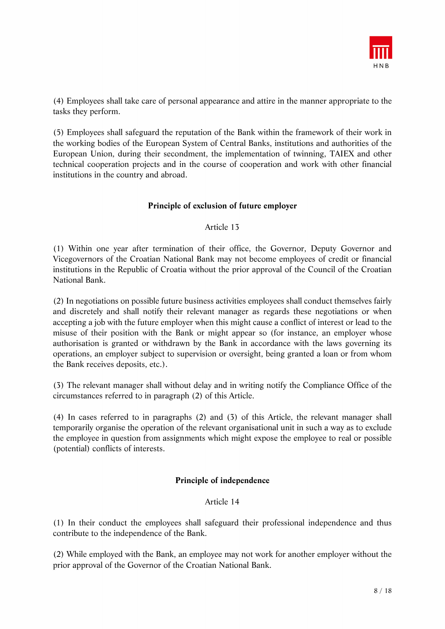

(4) Employees shall take care of personal appearance and attire in the manner appropriate to the tasks they perform.

(5) Employees shall safeguard the reputation of the Bank within the framework of their work in the working bodies of the European System of Central Banks, institutions and authorities of the European Union, during their secondment, the implementation of twinning, TAIEX and other technical cooperation projects and in the course of cooperation and work with other financial institutions in the country and abroad.

### **Principle of exclusion of future employer**

Article 13

(1) Within one year after termination of their office, the Governor, Deputy Governor and Vicegovernors of the Croatian National Bank may not become employees of credit or financial institutions in the Republic of Croatia without the prior approval of the Council of the Croatian National Bank.

(2) In negotiations on possible future business activities employees shall conduct themselves fairly and discretely and shall notify their relevant manager as regards these negotiations or when accepting a job with the future employer when this might cause a conflict of interest or lead to the misuse of their position with the Bank or might appear so (for instance, an employer whose authorisation is granted or withdrawn by the Bank in accordance with the laws governing its operations, an employer subject to supervision or oversight, being granted a loan or from whom the Bank receives deposits, etc.).

(3) The relevant manager shall without delay and in writing notify the Compliance Office of the circumstances referred to in paragraph (2) of this Article.

(4) In cases referred to in paragraphs (2) and (3) of this Article, the relevant manager shall temporarily organise the operation of the relevant organisational unit in such a way as to exclude the employee in question from assignments which might expose the employee to real or possible (potential) conflicts of interests.

### **Principle of independence**

### Article 14

(1) In their conduct the employees shall safeguard their professional independence and thus contribute to the independence of the Bank.

(2) While employed with the Bank, an employee may not work for another employer without the prior approval of the Governor of the Croatian National Bank.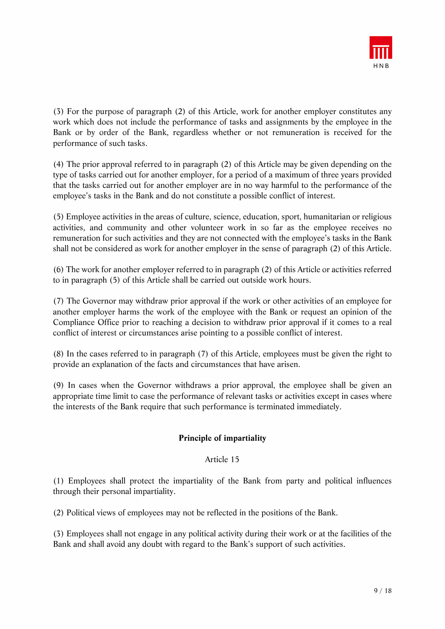

(3) For the purpose of paragraph (2) of this Article, work for another employer constitutes any work which does not include the performance of tasks and assignments by the employee in the Bank or by order of the Bank, regardless whether or not remuneration is received for the performance of such tasks.

(4) The prior approval referred to in paragraph (2) of this Article may be given depending on the type of tasks carried out for another employer, for a period of a maximum of three years provided that the tasks carried out for another employer are in no way harmful to the performance of the employee's tasks in the Bank and do not constitute a possible conflict of interest.

(5) Employee activities in the areas of culture, science, education, sport, humanitarian or religious activities, and community and other volunteer work in so far as the employee receives no remuneration for such activities and they are not connected with the employee's tasks in the Bank shall not be considered as work for another employer in the sense of paragraph (2) of this Article.

(6) The work for another employer referred to in paragraph (2) of this Article or activities referred to in paragraph (5) of this Article shall be carried out outside work hours.

(7) The Governor may withdraw prior approval if the work or other activities of an employee for another employer harms the work of the employee with the Bank or request an opinion of the Compliance Office prior to reaching a decision to withdraw prior approval if it comes to a real conflict of interest or circumstances arise pointing to a possible conflict of interest.

(8) In the cases referred to in paragraph (7) of this Article, employees must be given the right to provide an explanation of the facts and circumstances that have arisen.

(9) In cases when the Governor withdraws a prior approval, the employee shall be given an appropriate time limit to case the performance of relevant tasks or activities except in cases where the interests of the Bank require that such performance is terminated immediately.

### **Principle of impartiality**

### Article 15

(1) Employees shall protect the impartiality of the Bank from party and political influences through their personal impartiality.

(2) Political views of employees may not be reflected in the positions of the Bank.

(3) Employees shall not engage in any political activity during their work or at the facilities of the Bank and shall avoid any doubt with regard to the Bank's support of such activities.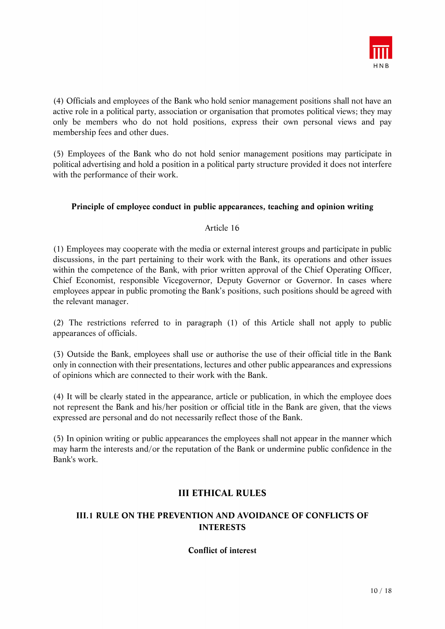

(4) Officials and employees of the Bank who hold senior management positions shall not have an active role in a political party, association or organisation that promotes political views; they may only be members who do not hold positions, express their own personal views and pay membership fees and other dues.

(5) Employees of the Bank who do not hold senior management positions may participate in political advertising and hold a position in a political party structure provided it does not interfere with the performance of their work.

### **Principle of employee conduct in public appearances, teaching and opinion writing**

### Article 16

(1) Employees may cooperate with the media or external interest groups and participate in public discussions, in the part pertaining to their work with the Bank, its operations and other issues within the competence of the Bank, with prior written approval of the Chief Operating Officer, Chief Economist, responsible Vicegovernor, Deputy Governor or Governor. In cases where employees appear in public promoting the Bank's positions, such positions should be agreed with the relevant manager.

(2) The restrictions referred to in paragraph (1) of this Article shall not apply to public appearances of officials.

(3) Outside the Bank, employees shall use or authorise the use of their official title in the Bank only in connection with their presentations, lectures and other public appearances and expressions of opinions which are connected to their work with the Bank.

(4) It will be clearly stated in the appearance, article or publication, in which the employee does not represent the Bank and his/her position or official title in the Bank are given, that the views expressed are personal and do not necessarily reflect those of the Bank.

(5) In opinion writing or public appearances the employees shall not appear in the manner which may harm the interests and/or the reputation of the Bank or undermine public confidence in the Bank's work.

# **III ETHICAL RULES**

# **III.1 RULE ON THE PREVENTION AND AVOIDANCE OF CONFLICTS OF INTERESTS**

### **Conflict of interest**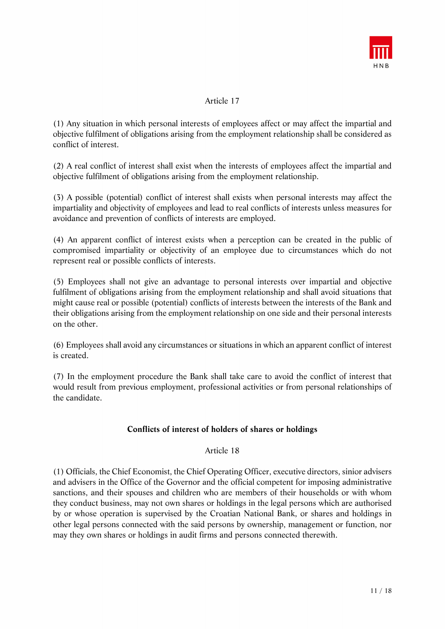

### Article 17

(1) Any situation in which personal interests of employees affect or may affect the impartial and objective fulfilment of obligations arising from the employment relationship shall be considered as conflict of interest.

(2) A real conflict of interest shall exist when the interests of employees affect the impartial and objective fulfilment of obligations arising from the employment relationship.

(3) A possible (potential) conflict of interest shall exists when personal interests may affect the impartiality and objectivity of employees and lead to real conflicts of interests unless measures for avoidance and prevention of conflicts of interests are employed.

(4) An apparent conflict of interest exists when a perception can be created in the public of compromised impartiality or objectivity of an employee due to circumstances which do not represent real or possible conflicts of interests.

(5) Employees shall not give an advantage to personal interests over impartial and objective fulfilment of obligations arising from the employment relationship and shall avoid situations that might cause real or possible (potential) conflicts of interests between the interests of the Bank and their obligations arising from the employment relationship on one side and their personal interests on the other.

(6) Employees shall avoid any circumstances or situations in which an apparent conflict of interest is created.

(7) In the employment procedure the Bank shall take care to avoid the conflict of interest that would result from previous employment, professional activities or from personal relationships of the candidate.

### **Conflicts of interest of holders of shares or holdings**

### Article 18

(1) Officials, the Chief Economist, the Chief Operating Officer, executive directors, sinior advisers and advisers in the Office of the Governor and the official competent for imposing administrative sanctions, and their spouses and children who are members of their households or with whom they conduct business, may not own shares or holdings in the legal persons which are authorised by or whose operation is supervised by the Croatian National Bank, or shares and holdings in other legal persons connected with the said persons by ownership, management or function, nor may they own shares or holdings in audit firms and persons connected therewith.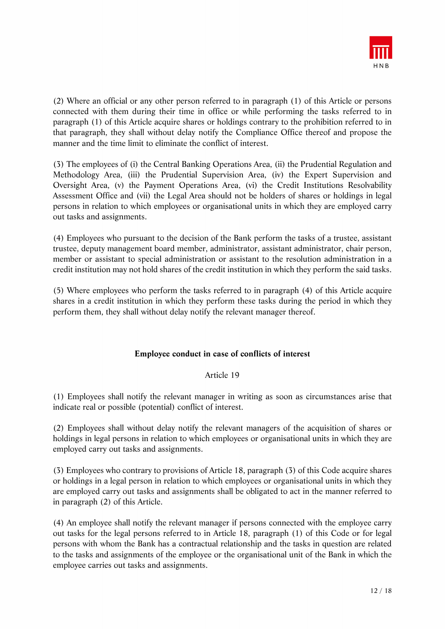

(2) Where an official or any other person referred to in paragraph (1) of this Article or persons connected with them during their time in office or while performing the tasks referred to in paragraph (1) of this Article acquire shares or holdings contrary to the prohibition referred to in that paragraph, they shall without delay notify the Compliance Office thereof and propose the manner and the time limit to eliminate the conflict of interest.

(3) The employees of (i) the Central Banking Operations Area, (ii) the Prudential Regulation and Methodology Area, (iii) the Prudential Supervision Area, (iv) the Expert Supervision and Oversight Area, (v) the Payment Operations Area, (vi) the Credit Institutions Resolvability Assessment Office and (vii) the Legal Area should not be holders of shares or holdings in legal persons in relation to which employees or organisational units in which they are employed carry out tasks and assignments.

(4) Employees who pursuant to the decision of the Bank perform the tasks of a trustee, assistant trustee, deputy management board member, administrator, assistant administrator, chair person, member or assistant to special administration or assistant to the resolution administration in a credit institution may not hold shares of the credit institution in which they perform the said tasks.

(5) Where employees who perform the tasks referred to in paragraph (4) of this Article acquire shares in a credit institution in which they perform these tasks during the period in which they perform them, they shall without delay notify the relevant manager thereof.

### **Employee conduct in case of conflicts of interest**

### Article 19

(1) Employees shall notify the relevant manager in writing as soon as circumstances arise that indicate real or possible (potential) conflict of interest.

(2) Employees shall without delay notify the relevant managers of the acquisition of shares or holdings in legal persons in relation to which employees or organisational units in which they are employed carry out tasks and assignments.

(3) Employees who contrary to provisions of Article 18, paragraph (3) of this Code acquire shares or holdings in a legal person in relation to which employees or organisational units in which they are employed carry out tasks and assignments shall be obligated to act in the manner referred to in paragraph (2) of this Article.

(4) An employee shall notify the relevant manager if persons connected with the employee carry out tasks for the legal persons referred to in Article 18, paragraph (1) of this Code or for legal persons with whom the Bank has a contractual relationship and the tasks in question are related to the tasks and assignments of the employee or the organisational unit of the Bank in which the employee carries out tasks and assignments.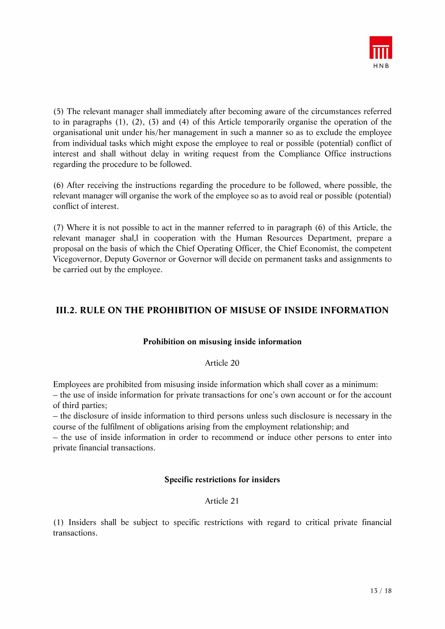

(5) The relevant manager shall immediately after becoming aware of the circumstances referred to in paragraphs (1), (2), (3) and (4) of this Article temporarily organise the operation of the organisational unit under his/her management in such a manner so as to exclude the employee from individual tasks which might expose the employee to real or possible (potential) conflict of interest and shall without delay in writing request from the Compliance Office instructions regarding the procedure to be followed.

(6) After receiving the instructions regarding the procedure to be followed, where possible, the relevant manager will organise the work of the employee so as to avoid real or possible (potential) conflict of interest.

(7) Where it is not possible to act in the manner referred to in paragraph (6) of this Article, the relevant manager shal,l in cooperation with the Human Resources Department, prepare a proposal on the basis of which the Chief Operating Officer, the Chief Economist, the competent Vicegovernor, Deputy Governor or Governor will decide on permanent tasks and assignments to be carried out by the employee.

# **III.2. RULE ON THE PROHIBITION OF MISUSE OF INSIDE INFORMATION**

### **Prohibition on misusing inside information**

#### Article 20

Employees are prohibited from misusing inside information which shall cover as a minimum:

– the use of inside information for private transactions for one's own account or for the account of third parties;

– the disclosure of inside information to third persons unless such disclosure is necessary in the course of the fulfilment of obligations arising from the employment relationship; and

– the use of inside information in order to recommend or induce other persons to enter into private financial transactions.

### **Specific restrictions for insiders**

### Article 21

(1) Insiders shall be subject to specific restrictions with regard to critical private financial transactions.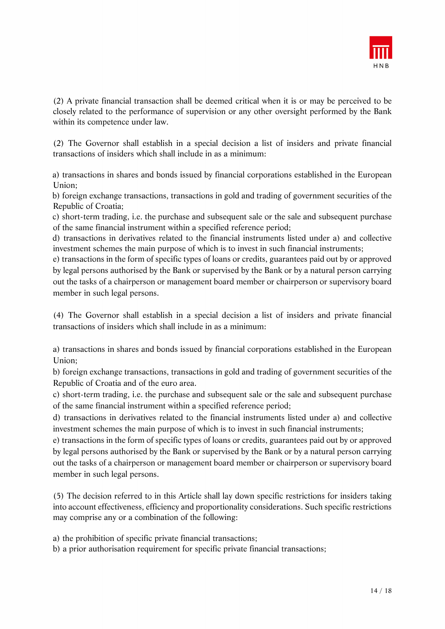

(2) A private financial transaction shall be deemed critical when it is or may be perceived to be closely related to the performance of supervision or any other oversight performed by the Bank within its competence under law.

(2) The Governor shall establish in a special decision a list of insiders and private financial transactions of insiders which shall include in as a minimum:

a) transactions in shares and bonds issued by financial corporations established in the European Union;

b) foreign exchange transactions, transactions in gold and trading of government securities of the Republic of Croatia;

c) short-term trading, i.e. the purchase and subsequent sale or the sale and subsequent purchase of the same financial instrument within a specified reference period;

d) transactions in derivatives related to the financial instruments listed under a) and collective investment schemes the main purpose of which is to invest in such financial instruments;

e) transactions in the form of specific types of loans or credits, guarantees paid out by or approved by legal persons authorised by the Bank or supervised by the Bank or by a natural person carrying out the tasks of a chairperson or management board member or chairperson or supervisory board member in such legal persons.

(4) The Governor shall establish in a special decision a list of insiders and private financial transactions of insiders which shall include in as a minimum:

a) transactions in shares and bonds issued by financial corporations established in the European Union;

b) foreign exchange transactions, transactions in gold and trading of government securities of the Republic of Croatia and of the euro area.

c) short-term trading, i.e. the purchase and subsequent sale or the sale and subsequent purchase of the same financial instrument within a specified reference period;

d) transactions in derivatives related to the financial instruments listed under a) and collective investment schemes the main purpose of which is to invest in such financial instruments;

e) transactions in the form of specific types of loans or credits, guarantees paid out by or approved by legal persons authorised by the Bank or supervised by the Bank or by a natural person carrying out the tasks of a chairperson or management board member or chairperson or supervisory board member in such legal persons.

(5) The decision referred to in this Article shall lay down specific restrictions for insiders taking into account effectiveness, efficiency and proportionality considerations. Such specific restrictions may comprise any or a combination of the following:

a) the prohibition of specific private financial transactions;

b) a prior authorisation requirement for specific private financial transactions;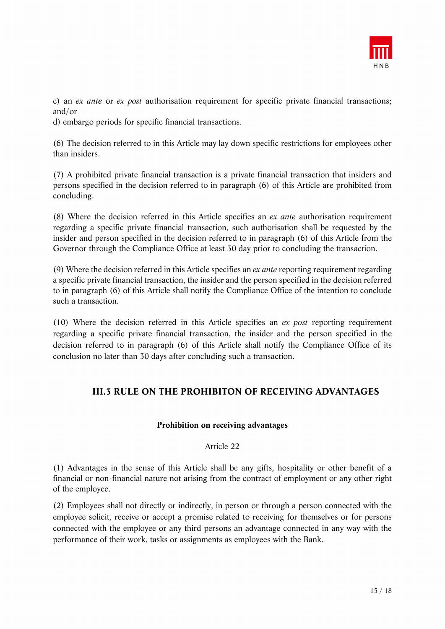

c) an *ex ante* or *ex post* authorisation requirement for specific private financial transactions; and/or

d) embargo periods for specific financial transactions.

(6) The decision referred to in this Article may lay down specific restrictions for employees other than insiders.

(7) A prohibited private financial transaction is a private financial transaction that insiders and persons specified in the decision referred to in paragraph (6) of this Article are prohibited from concluding.

(8) Where the decision referred in this Article specifies an *ex ante* authorisation requirement regarding a specific private financial transaction, such authorisation shall be requested by the insider and person specified in the decision referred to in paragraph (6) of this Article from the Governor through the Compliance Office at least 30 day prior to concluding the transaction.

(9) Where the decision referred in this Article specifies an *ex ante* reporting requirement regarding a specific private financial transaction, the insider and the person specified in the decision referred to in paragraph (6) of this Article shall notify the Compliance Office of the intention to conclude such a transaction.

(10) Where the decision referred in this Article specifies an *ex post* reporting requirement regarding a specific private financial transaction, the insider and the person specified in the decision referred to in paragraph (6) of this Article shall notify the Compliance Office of its conclusion no later than 30 days after concluding such a transaction.

# **III.3 RULE ON THE PROHIBITON OF RECEIVING ADVANTAGES**

### **Prohibition on receiving advantages**

### Article 22

(1) Advantages in the sense of this Article shall be any gifts, hospitality or other benefit of a financial or non-financial nature not arising from the contract of employment or any other right of the employee.

(2) Employees shall not directly or indirectly, in person or through a person connected with the employee solicit, receive or accept a promise related to receiving for themselves or for persons connected with the employee or any third persons an advantage connected in any way with the performance of their work, tasks or assignments as employees with the Bank.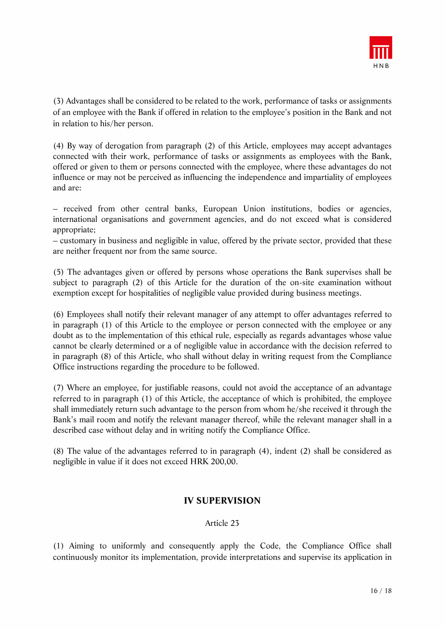

(3) Advantages shall be considered to be related to the work, performance of tasks or assignments of an employee with the Bank if offered in relation to the employee's position in the Bank and not in relation to his/her person.

(4) By way of derogation from paragraph (2) of this Article, employees may accept advantages connected with their work, performance of tasks or assignments as employees with the Bank, offered or given to them or persons connected with the employee, where these advantages do not influence or may not be perceived as influencing the independence and impartiality of employees and are:

– received from other central banks, European Union institutions, bodies or agencies, international organisations and government agencies, and do not exceed what is considered appropriate;

– customary in business and negligible in value, offered by the private sector, provided that these are neither frequent nor from the same source.

(5) The advantages given or offered by persons whose operations the Bank supervises shall be subject to paragraph (2) of this Article for the duration of the on-site examination without exemption except for hospitalities of negligible value provided during business meetings.

(6) Employees shall notify their relevant manager of any attempt to offer advantages referred to in paragraph (1) of this Article to the employee or person connected with the employee or any doubt as to the implementation of this ethical rule, especially as regards advantages whose value cannot be clearly determined or a of negligible value in accordance with the decision referred to in paragraph (8) of this Article, who shall without delay in writing request from the Compliance Office instructions regarding the procedure to be followed.

(7) Where an employee, for justifiable reasons, could not avoid the acceptance of an advantage referred to in paragraph (1) of this Article, the acceptance of which is prohibited, the employee shall immediately return such advantage to the person from whom he/she received it through the Bank's mail room and notify the relevant manager thereof, while the relevant manager shall in a described case without delay and in writing notify the Compliance Office.

(8) The value of the advantages referred to in paragraph (4), indent (2) shall be considered as negligible in value if it does not exceed HRK 200,00.

# **IV SUPERVISION**

### Article 23

(1) Aiming to uniformly and consequently apply the Code, the Compliance Office shall continuously monitor its implementation, provide interpretations and supervise its application in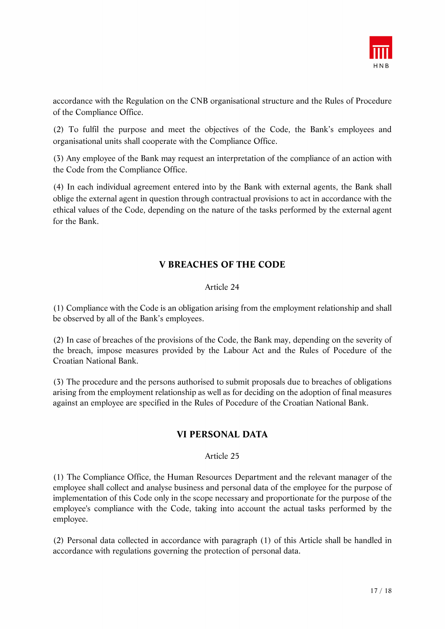

accordance with the Regulation on the CNB organisational structure and the Rules of Procedure of the Compliance Office.

(2) To fulfil the purpose and meet the objectives of the Code, the Bank's employees and organisational units shall cooperate with the Compliance Office.

(3) Any employee of the Bank may request an interpretation of the compliance of an action with the Code from the Compliance Office.

(4) In each individual agreement entered into by the Bank with external agents, the Bank shall oblige the external agent in question through contractual provisions to act in accordance with the ethical values of the Code, depending on the nature of the tasks performed by the external agent for the Bank.

# **V BREACHES OF THE CODE**

### Article 24

(1) Compliance with the Code is an obligation arising from the employment relationship and shall be observed by all of the Bank's employees.

(2) In case of breaches of the provisions of the Code, the Bank may, depending on the severity of the breach, impose measures provided by the Labour Act and the Rules of Pocedure of the Croatian National Bank.

(3) The procedure and the persons authorised to submit proposals due to breaches of obligations arising from the employment relationship as well as for deciding on the adoption of final measures against an employee are specified in the Rules of Pocedure of the Croatian National Bank.

### **VI PERSONAL DATA**

### Article 25

(1) The Compliance Office, the Human Resources Department and the relevant manager of the employee shall collect and analyse business and personal data of the employee for the purpose of implementation of this Code only in the scope necessary and proportionate for the purpose of the employee's compliance with the Code, taking into account the actual tasks performed by the employee.

(2) Personal data collected in accordance with paragraph (1) of this Article shall be handled in accordance with regulations governing the protection of personal data.